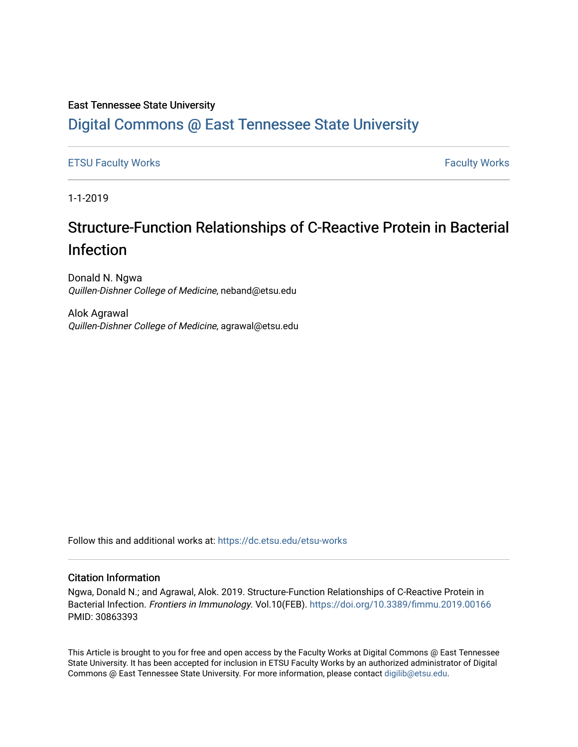## East Tennessee State University

# [Digital Commons @ East Tennessee State University](https://dc.etsu.edu/)

[ETSU Faculty Works](https://dc.etsu.edu/etsu-works) **Faculty Works** [Faculty Works](https://dc.etsu.edu/faculty-works) **Faculty Works** 

1-1-2019

# Structure-Function Relationships of C-Reactive Protein in Bacterial Infection

Donald N. Ngwa Quillen-Dishner College of Medicine, neband@etsu.edu

Alok Agrawal Quillen-Dishner College of Medicine, agrawal@etsu.edu

Follow this and additional works at: [https://dc.etsu.edu/etsu-works](https://dc.etsu.edu/etsu-works?utm_source=dc.etsu.edu%2Fetsu-works%2F10036&utm_medium=PDF&utm_campaign=PDFCoverPages) 

### Citation Information

Ngwa, Donald N.; and Agrawal, Alok. 2019. Structure-Function Relationships of C-Reactive Protein in Bacterial Infection. Frontiers in Immunology. Vol.10(FEB).<https://doi.org/10.3389/fimmu.2019.00166> PMID: 30863393

This Article is brought to you for free and open access by the Faculty Works at Digital Commons @ East Tennessee State University. It has been accepted for inclusion in ETSU Faculty Works by an authorized administrator of Digital Commons @ East Tennessee State University. For more information, please contact [digilib@etsu.edu.](mailto:digilib@etsu.edu)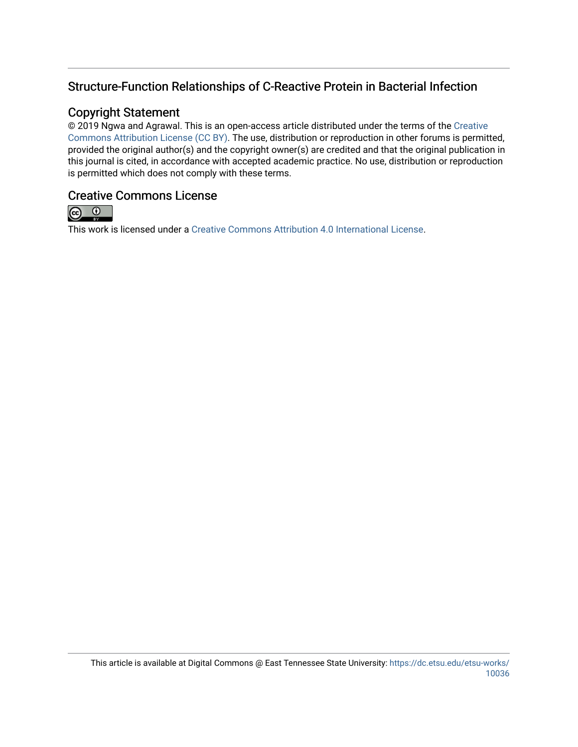# Structure-Function Relationships of C-Reactive Protein in Bacterial Infection

# Copyright Statement

© 2019 Ngwa and Agrawal. This is an open-access article distributed under the terms of the [Creative](http://creativecommons.org/licenses/by/4.0/) [Commons Attribution License \(CC BY\)](http://creativecommons.org/licenses/by/4.0/). The use, distribution or reproduction in other forums is permitted, provided the original author(s) and the copyright owner(s) are credited and that the original publication in this journal is cited, in accordance with accepted academic practice. No use, distribution or reproduction is permitted which does not comply with these terms.

# Creative Commons License



This work is licensed under a [Creative Commons Attribution 4.0 International License.](https://creativecommons.org/licenses/by/4.0/)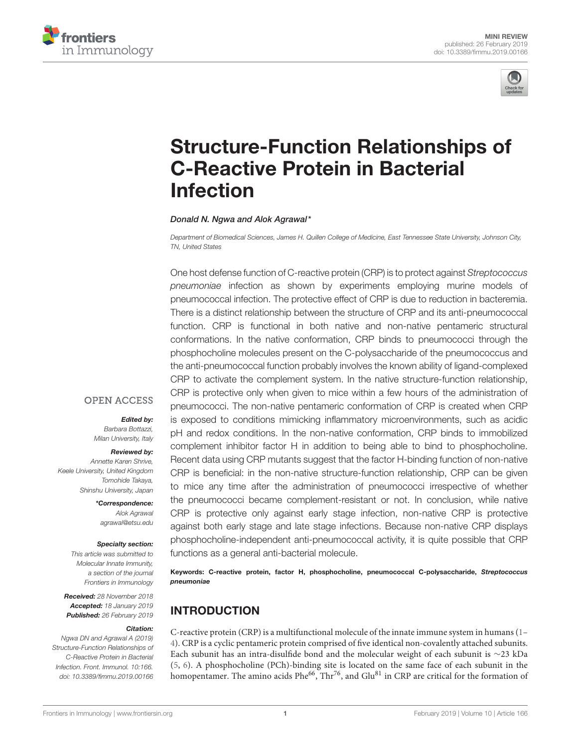



# [Structure-Function Relationships of](https://www.frontiersin.org/articles/10.3389/fimmu.2019.00166/full) C-Reactive Protein in Bacterial Infection

#### Donald N. Ngwa and [Alok Agrawal\\*](http://loop.frontiersin.org/people/559726/overview)

*Department of Biomedical Sciences, James H. Quillen College of Medicine, East Tennessee State University, Johnson City, TN, United States*

One host defense function of C-reactive protein (CRP) is to protect against *Streptococcus pneumoniae* infection as shown by experiments employing murine models of pneumococcal infection. The protective effect of CRP is due to reduction in bacteremia. There is a distinct relationship between the structure of CRP and its anti-pneumococcal function. CRP is functional in both native and non-native pentameric structural conformations. In the native conformation, CRP binds to pneumococci through the phosphocholine molecules present on the C-polysaccharide of the pneumococcus and the anti-pneumococcal function probably involves the known ability of ligand-complexed CRP to activate the complement system. In the native structure-function relationship, CRP is protective only when given to mice within a few hours of the administration of pneumococci. The non-native pentameric conformation of CRP is created when CRP is exposed to conditions mimicking inflammatory microenvironments, such as acidic pH and redox conditions. In the non-native conformation, CRP binds to immobilized complement inhibitor factor H in addition to being able to bind to phosphocholine. Recent data using CRP mutants suggest that the factor H-binding function of non-native CRP is beneficial: in the non-native structure-function relationship, CRP can be given to mice any time after the administration of pneumococci irrespective of whether the pneumococci became complement-resistant or not. In conclusion, while native CRP is protective only against early stage infection, non-native CRP is protective against both early stage and late stage infections. Because non-native CRP displays phosphocholine-independent anti-pneumococcal activity, it is quite possible that CRP functions as a general anti-bacterial molecule.

Keywords: C-reactive protein, factor H, phosphocholine, pneumococcal C-polysaccharide, Streptococcus pneumoniae

# INTRODUCTION

C-reactive protein (CRP) is a multifunctional molecule of the innate immune system in humans [\(1–](#page-5-0) [4\)](#page-6-0). CRP is a cyclic pentameric protein comprised of five identical non-covalently attached subunits. Each subunit has an intra-disulfide bond and the molecular weight of each subunit is ∼23 kDa [\(5,](#page-6-1) [6\)](#page-6-2). A phosphocholine (PCh)-binding site is located on the same face of each subunit in the homopentamer. The amino acids  $Phe^{66}$ , Thr<sup>76</sup>, and Glu<sup>81</sup> in CRP are critical for the formation of

### **OPEN ACCESS**

#### Edited by:

*Barbara Bottazzi, Milan University, Italy*

#### Reviewed by:

*Annette Karen Shrive, Keele University, United Kingdom Tomohide Takaya, Shinshu University, Japan*

> \*Correspondence: *Alok Agrawal [agrawal@etsu.edu](mailto:agrawal@etsu.edu)*

#### Specialty section:

*This article was submitted to Molecular Innate Immunity, a section of the journal Frontiers in Immunology*

Received: *28 November 2018* Accepted: *18 January 2019* Published: *26 February 2019*

#### Citation:

*Ngwa DN and Agrawal A (2019) Structure-Function Relationships of C-Reactive Protein in Bacterial Infection. Front. Immunol. 10:166. doi: [10.3389/fimmu.2019.00166](https://doi.org/10.3389/fimmu.2019.00166)*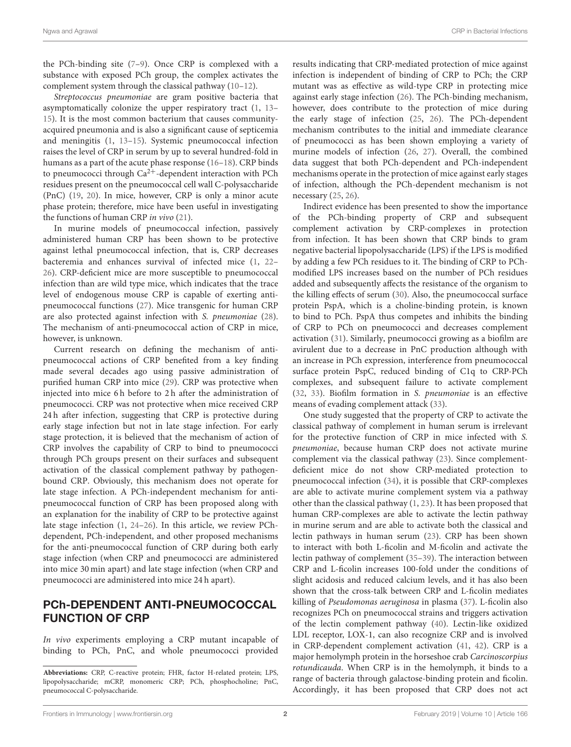the PCh-binding site [\(7](#page-6-3)[–9\)](#page-6-4). Once CRP is complexed with a substance with exposed PCh group, the complex activates the complement system through the classical pathway [\(10](#page-6-5)[–12\)](#page-6-6).

Streptococcus pneumoniae are gram positive bacteria that asymptomatically colonize the upper respiratory tract [\(1,](#page-5-0) [13–](#page-6-7) [15\)](#page-6-8). It is the most common bacterium that causes communityacquired pneumonia and is also a significant cause of septicemia and meningitis [\(1,](#page-5-0) [13](#page-6-7)[–15\)](#page-6-8). Systemic pneumococcal infection raises the level of CRP in serum by up to several hundred-fold in humans as a part of the acute phase response [\(16](#page-6-9)[–18\)](#page-6-10). CRP binds to pneumococci through  $Ca^{2+}$ -dependent interaction with PCh residues present on the pneumococcal cell wall C-polysaccharide (PnC) [\(19,](#page-6-11) [20\)](#page-6-12). In mice, however, CRP is only a minor acute phase protein; therefore, mice have been useful in investigating the functions of human CRP in vivo [\(21\)](#page-6-13).

In murine models of pneumococcal infection, passively administered human CRP has been shown to be protective against lethal pneumococcal infection, that is, CRP decreases bacteremia and enhances survival of infected mice [\(1,](#page-5-0) [22–](#page-6-14) [26\)](#page-6-15). CRP-deficient mice are more susceptible to pneumococcal infection than are wild type mice, which indicates that the trace level of endogenous mouse CRP is capable of exerting antipneumococcal functions [\(27\)](#page-6-16). Mice transgenic for human CRP are also protected against infection with S. pneumoniae [\(28\)](#page-6-17). The mechanism of anti-pneumococcal action of CRP in mice, however, is unknown.

Current research on defining the mechanism of antipneumococcal actions of CRP benefited from a key finding made several decades ago using passive administration of purified human CRP into mice [\(29\)](#page-6-18). CRP was protective when injected into mice 6 h before to 2 h after the administration of pneumococci. CRP was not protective when mice received CRP 24 h after infection, suggesting that CRP is protective during early stage infection but not in late stage infection. For early stage protection, it is believed that the mechanism of action of CRP involves the capability of CRP to bind to pneumococci through PCh groups present on their surfaces and subsequent activation of the classical complement pathway by pathogenbound CRP. Obviously, this mechanism does not operate for late stage infection. A PCh-independent mechanism for antipneumococcal function of CRP has been proposed along with an explanation for the inability of CRP to be protective against late stage infection [\(1,](#page-5-0) [24–](#page-6-19)[26\)](#page-6-15). In this article, we review PChdependent, PCh-independent, and other proposed mechanisms for the anti-pneumococcal function of CRP during both early stage infection (when CRP and pneumococci are administered into mice 30 min apart) and late stage infection (when CRP and pneumococci are administered into mice 24 h apart).

# PCh-DEPENDENT ANTI-PNEUMOCOCCAL FUNCTION OF CRP

In vivo experiments employing a CRP mutant incapable of binding to PCh, PnC, and whole pneumococci provided results indicating that CRP-mediated protection of mice against infection is independent of binding of CRP to PCh; the CRP mutant was as effective as wild-type CRP in protecting mice against early stage infection [\(26\)](#page-6-15). The PCh-binding mechanism, however, does contribute to the protection of mice during the early stage of infection [\(25,](#page-6-20) [26\)](#page-6-15). The PCh-dependent mechanism contributes to the initial and immediate clearance of pneumococci as has been shown employing a variety of murine models of infection [\(26,](#page-6-15) [27\)](#page-6-16). Overall, the combined data suggest that both PCh-dependent and PCh-independent mechanisms operate in the protection of mice against early stages of infection, although the PCh-dependent mechanism is not necessary [\(25,](#page-6-20) [26\)](#page-6-15).

Indirect evidence has been presented to show the importance of the PCh-binding property of CRP and subsequent complement activation by CRP-complexes in protection from infection. It has been shown that CRP binds to gram negative bacterial lipopolysaccharide (LPS) if the LPS is modified by adding a few PCh residues to it. The binding of CRP to PChmodified LPS increases based on the number of PCh residues added and subsequently affects the resistance of the organism to the killing effects of serum [\(30\)](#page-6-21). Also, the pneumococcal surface protein PspA, which is a choline-binding protein, is known to bind to PCh. PspA thus competes and inhibits the binding of CRP to PCh on pneumococci and decreases complement activation [\(31\)](#page-6-22). Similarly, pneumococci growing as a biofilm are avirulent due to a decrease in PnC production although with an increase in PCh expression, interference from pneumococcal surface protein PspC, reduced binding of C1q to CRP-PCh complexes, and subsequent failure to activate complement [\(32,](#page-6-23) [33\)](#page-6-24). Biofilm formation in S. pneumoniae is an effective means of evading complement attack [\(33\)](#page-6-24).

One study suggested that the property of CRP to activate the classical pathway of complement in human serum is irrelevant for the protective function of CRP in mice infected with S. pneumoniae, because human CRP does not activate murine complement via the classical pathway [\(23\)](#page-6-25). Since complementdeficient mice do not show CRP-mediated protection to pneumococcal infection [\(34\)](#page-6-26), it is possible that CRP-complexes are able to activate murine complement system via a pathway other than the classical pathway [\(1,](#page-5-0) [23\)](#page-6-25). It has been proposed that human CRP-complexes are able to activate the lectin pathway in murine serum and are able to activate both the classical and lectin pathways in human serum [\(23\)](#page-6-25). CRP has been shown to interact with both L-ficolin and M-ficolin and activate the lectin pathway of complement [\(35–](#page-6-27)[39\)](#page-6-28). The interaction between CRP and L-ficolin increases 100-fold under the conditions of slight acidosis and reduced calcium levels, and it has also been shown that the cross-talk between CRP and L-ficolin mediates killing of Pseudomonas aeruginosa in plasma [\(37\)](#page-6-29). L-ficolin also recognizes PCh on pneumococcal strains and triggers activation of the lectin complement pathway [\(40\)](#page-6-30). Lectin-like oxidized LDL receptor, LOX-1, can also recognize CRP and is involved in CRP-dependent complement activation [\(41,](#page-6-31) [42\)](#page-6-32). CRP is a major hemolymph protein in the horseshoe crab Carcinoscorpius rotundicauda. When CRP is in the hemolymph, it binds to a range of bacteria through galactose-binding protein and ficolin. Accordingly, it has been proposed that CRP does not act

```
Frontiers in Immunology  www.frontiersin.orgFebruary 2019 | Volume 10 | Article 166
```
**Abbreviations:** CRP, C-reactive protein; FHR, factor H-related protein; LPS, lipopolysaccharide; mCRP, monomeric CRP; PCh, phosphocholine; PnC, pneumococcal C-polysaccharide.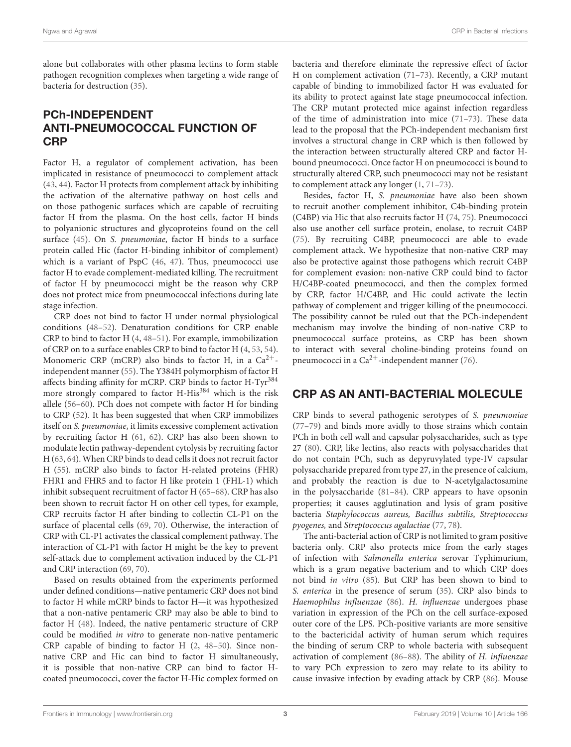alone but collaborates with other plasma lectins to form stable pathogen recognition complexes when targeting a wide range of bacteria for destruction [\(35\)](#page-6-27).

# PCh-INDEPENDENT ANTI-PNEUMOCOCCAL FUNCTION OF **CRP**

Factor H, a regulator of complement activation, has been implicated in resistance of pneumococci to complement attack [\(43,](#page-6-33) [44\)](#page-7-0). Factor H protects from complement attack by inhibiting the activation of the alternative pathway on host cells and on those pathogenic surfaces which are capable of recruiting factor H from the plasma. On the host cells, factor H binds to polyanionic structures and glycoproteins found on the cell surface [\(45\)](#page-7-1). On S. pneumoniae, factor H binds to a surface protein called Hic (factor H-binding inhibitor of complement) which is a variant of PspC [\(46,](#page-7-2) [47\)](#page-7-3). Thus, pneumococci use factor H to evade complement-mediated killing. The recruitment of factor H by pneumococci might be the reason why CRP does not protect mice from pneumococcal infections during late stage infection.

CRP does not bind to factor H under normal physiological conditions [\(48](#page-7-4)[–52\)](#page-7-5). Denaturation conditions for CRP enable CRP to bind to factor H [\(4,](#page-6-0) [48–](#page-7-4)[51\)](#page-7-6). For example, immobilization of CRP on to a surface enables CRP to bind to factor H [\(4,](#page-6-0) [53,](#page-7-7) [54\)](#page-7-8). Monomeric CRP (mCRP) also binds to factor H, in a  $Ca^{2+}$ independent manner [\(55\)](#page-7-9). The Y384H polymorphism of factor H affects binding affinity for mCRP. CRP binds to factor H-Tyr<sup>384</sup> more strongly compared to factor H-His<sup>384</sup> which is the risk allele [\(56](#page-7-10)[–60\)](#page-7-11). PCh does not compete with factor H for binding to CRP [\(52\)](#page-7-5). It has been suggested that when CRP immobilizes itself on S. pneumoniae, it limits excessive complement activation by recruiting factor H [\(61,](#page-7-12) [62\)](#page-7-13). CRP has also been shown to modulate lectin pathway-dependent cytolysis by recruiting factor H [\(63,](#page-7-14) [64\)](#page-7-15). When CRP binds to dead cells it does not recruit factor H [\(55\)](#page-7-9). mCRP also binds to factor H-related proteins (FHR) FHR1 and FHR5 and to factor H like protein 1 (FHL-1) which inhibit subsequent recruitment of factor H [\(65–](#page-7-16)[68\)](#page-7-17). CRP has also been shown to recruit factor H on other cell types, for example, CRP recruits factor H after binding to collectin CL-P1 on the surface of placental cells [\(69,](#page-7-18) [70\)](#page-7-19). Otherwise, the interaction of CRP with CL-P1 activates the classical complement pathway. The interaction of CL-P1 with factor H might be the key to prevent self-attack due to complement activation induced by the CL-P1 and CRP interaction [\(69,](#page-7-18) [70\)](#page-7-19).

Based on results obtained from the experiments performed under defined conditions—native pentameric CRP does not bind to factor H while mCRP binds to factor H—it was hypothesized that a non-native pentameric CRP may also be able to bind to factor H [\(48\)](#page-7-4). Indeed, the native pentameric structure of CRP could be modified in vitro to generate non-native pentameric CRP capable of binding to factor H [\(2,](#page-5-1) [48](#page-7-4)[–50\)](#page-7-20). Since nonnative CRP and Hic can bind to factor H simultaneously, it is possible that non-native CRP can bind to factor Hcoated pneumococci, cover the factor H-Hic complex formed on

bacteria and therefore eliminate the repressive effect of factor H on complement activation [\(71](#page-7-21)[–73\)](#page-7-22). Recently, a CRP mutant capable of binding to immobilized factor H was evaluated for its ability to protect against late stage pneumococcal infection. The CRP mutant protected mice against infection regardless of the time of administration into mice [\(71](#page-7-21)[–73\)](#page-7-22). These data lead to the proposal that the PCh-independent mechanism first involves a structural change in CRP which is then followed by the interaction between structurally altered CRP and factor Hbound pneumococci. Once factor H on pneumococci is bound to structurally altered CRP, such pneumococci may not be resistant to complement attack any longer [\(1,](#page-5-0) [71](#page-7-21)[–73\)](#page-7-22).

Besides, factor H, S. pneumoniae have also been shown to recruit another complement inhibitor, C4b-binding protein (C4BP) via Hic that also recruits factor H [\(74,](#page-7-23) [75\)](#page-7-24). Pneumococci also use another cell surface protein, enolase, to recruit C4BP [\(75\)](#page-7-24). By recruiting C4BP, pneumococci are able to evade complement attack. We hypothesize that non-native CRP may also be protective against those pathogens which recruit C4BP for complement evasion: non-native CRP could bind to factor H/C4BP-coated pneumococci, and then the complex formed by CRP, factor H/C4BP, and Hic could activate the lectin pathway of complement and trigger killing of the pneumococci. The possibility cannot be ruled out that the PCh-independent mechanism may involve the binding of non-native CRP to pneumococcal surface proteins, as CRP has been shown to interact with several choline-binding proteins found on pneumococci in a  $Ca^{2+}$ -independent manner [\(76\)](#page-7-25).

# CRP AS AN ANTI-BACTERIAL MOLECULE

CRP binds to several pathogenic serotypes of S. pneumoniae [\(77](#page-7-26)[–79\)](#page-7-27) and binds more avidly to those strains which contain PCh in both cell wall and capsular polysaccharides, such as type 27 [\(80\)](#page-8-0). CRP, like lectins, also reacts with polysaccharides that do not contain PCh, such as depyruvylated type-IV capsular polysaccharide prepared from type 27, in the presence of calcium, and probably the reaction is due to N-acetylgalactosamine in the polysaccharide [\(81](#page-8-1)[–84\)](#page-8-2). CRP appears to have opsonin properties; it causes agglutination and lysis of gram positive bacteria Staphylococcus aureus, Bacillus subtilis, Streptococcus pyogenes, and Streptococcus agalactiae [\(77,](#page-7-26) [78\)](#page-7-28).

The anti-bacterial action of CRP is not limited to gram positive bacteria only. CRP also protects mice from the early stages of infection with Salmonella enterica serovar Typhimurium, which is a gram negative bacterium and to which CRP does not bind in vitro [\(85\)](#page-8-3). But CRP has been shown to bind to S. enterica in the presence of serum [\(35\)](#page-6-27). CRP also binds to Haemophilus influenzae [\(86\)](#page-8-4). H. influenzae undergoes phase variation in expression of the PCh on the cell surface-exposed outer core of the LPS. PCh-positive variants are more sensitive to the bactericidal activity of human serum which requires the binding of serum CRP to whole bacteria with subsequent activation of complement [\(86](#page-8-4)[–88\)](#page-8-5). The ability of H. influenzae to vary PCh expression to zero may relate to its ability to cause invasive infection by evading attack by CRP [\(86\)](#page-8-4). Mouse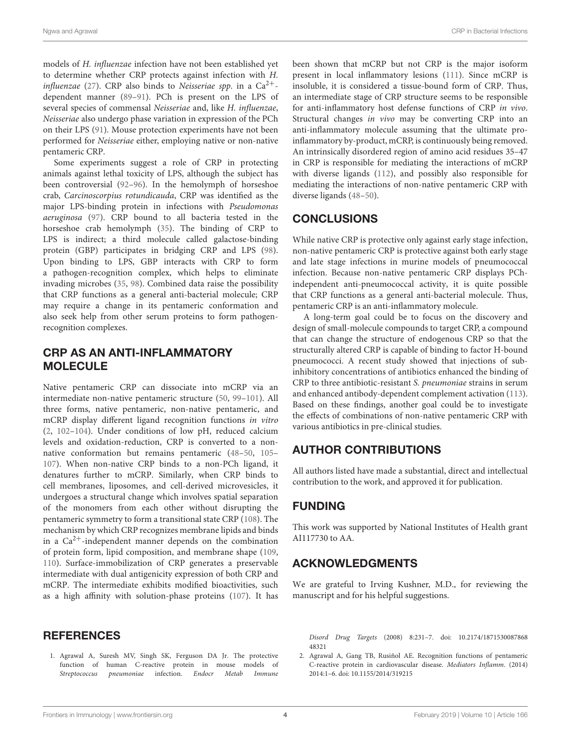models of H. influenzae infection have not been established yet to determine whether CRP protects against infection with H. influenzae [\(27\)](#page-6-16). CRP also binds to Neisseriae spp. in a  $Ca^{2+}$ dependent manner [\(89–](#page-8-6)[91\)](#page-8-7). PCh is present on the LPS of several species of commensal Neisseriae and, like H. influenzae, Neisseriae also undergo phase variation in expression of the PCh on their LPS [\(91\)](#page-8-7). Mouse protection experiments have not been performed for Neisseriae either, employing native or non-native pentameric CRP.

Some experiments suggest a role of CRP in protecting animals against lethal toxicity of LPS, although the subject has been controversial [\(92](#page-8-8)[–96\)](#page-8-9). In the hemolymph of horseshoe crab, Carcinoscorpius rotundicauda, CRP was identified as the major LPS-binding protein in infections with Pseudomonas aeruginosa [\(97\)](#page-8-10). CRP bound to all bacteria tested in the horseshoe crab hemolymph [\(35\)](#page-6-27). The binding of CRP to LPS is indirect; a third molecule called galactose-binding protein (GBP) participates in bridging CRP and LPS [\(98\)](#page-8-11). Upon binding to LPS, GBP interacts with CRP to form a pathogen-recognition complex, which helps to eliminate invading microbes [\(35,](#page-6-27) [98\)](#page-8-11). Combined data raise the possibility that CRP functions as a general anti-bacterial molecule; CRP may require a change in its pentameric conformation and also seek help from other serum proteins to form pathogenrecognition complexes.

# CRP AS AN ANTI-INFLAMMATORY MOLECULE

Native pentameric CRP can dissociate into mCRP via an intermediate non-native pentameric structure [\(50,](#page-7-20) [99–](#page-8-12)[101\)](#page-8-13). All three forms, native pentameric, non-native pentameric, and mCRP display different ligand recognition functions in vitro [\(2,](#page-5-1) [102–](#page-8-14)[104\)](#page-8-15). Under conditions of low pH, reduced calcium levels and oxidation-reduction, CRP is converted to a nonnative conformation but remains pentameric [\(48](#page-7-4)[–50,](#page-7-20) [105–](#page-8-16) [107\)](#page-8-17). When non-native CRP binds to a non-PCh ligand, it denatures further to mCRP. Similarly, when CRP binds to cell membranes, liposomes, and cell-derived microvesicles, it undergoes a structural change which involves spatial separation of the monomers from each other without disrupting the pentameric symmetry to form a transitional state CRP [\(108\)](#page-8-18). The mechanism by which CRP recognizes membrane lipids and binds in a  $Ca^{2+}$ -independent manner depends on the combination of protein form, lipid composition, and membrane shape [\(109,](#page-8-19) [110\)](#page-8-20). Surface-immobilization of CRP generates a preservable intermediate with dual antigenicity expression of both CRP and mCRP. The intermediate exhibits modified bioactivities, such as a high affinity with solution-phase proteins [\(107\)](#page-8-17). It has

# **REFERENCES**

<span id="page-5-0"></span>1. Agrawal A, Suresh MV, Singh SK, Ferguson DA Jr. The protective function of human C-reactive protein in mouse models of Streptococcus pneumoniae infection. Endocr Metab Immune

been shown that mCRP but not CRP is the major isoform present in local inflammatory lesions [\(111\)](#page-8-21). Since mCRP is insoluble, it is considered a tissue-bound form of CRP. Thus, an intermediate stage of CRP structure seems to be responsible for anti-inflammatory host defense functions of CRP in vivo. Structural changes in vivo may be converting CRP into an anti-inflammatory molecule assuming that the ultimate proinflammatory by-product, mCRP, is continuously being removed. An intrinsically disordered region of amino acid residues 35–47 in CRP is responsible for mediating the interactions of mCRP with diverse ligands [\(112\)](#page-8-22), and possibly also responsible for mediating the interactions of non-native pentameric CRP with diverse ligands [\(48–](#page-7-4)[50\)](#page-7-20).

# CONCLUSIONS

While native CRP is protective only against early stage infection, non-native pentameric CRP is protective against both early stage and late stage infections in murine models of pneumococcal infection. Because non-native pentameric CRP displays PChindependent anti-pneumococcal activity, it is quite possible that CRP functions as a general anti-bacterial molecule. Thus, pentameric CRP is an anti-inflammatory molecule.

A long-term goal could be to focus on the discovery and design of small-molecule compounds to target CRP, a compound that can change the structure of endogenous CRP so that the structurally altered CRP is capable of binding to factor H-bound pneumococci. A recent study showed that injections of subinhibitory concentrations of antibiotics enhanced the binding of CRP to three antibiotic-resistant S. pneumoniae strains in serum and enhanced antibody-dependent complement activation [\(113\)](#page-8-23). Based on these findings, another goal could be to investigate the effects of combinations of non-native pentameric CRP with various antibiotics in pre-clinical studies.

# AUTHOR CONTRIBUTIONS

All authors listed have made a substantial, direct and intellectual contribution to the work, and approved it for publication.

# FUNDING

This work was supported by National Institutes of Health grant AI117730 to AA.

# ACKNOWLEDGMENTS

We are grateful to Irving Kushner, M.D., for reviewing the manuscript and for his helpful suggestions.

Disord Drug Targets [\(2008\) 8:231–7. doi: 10.2174/1871530087868](https://doi.org/10.2174/187153008786848321) 48321

<span id="page-5-1"></span>2. Agrawal A, Gang TB, Rusiñol AE. Recognition functions of pentameric C-reactive protein in cardiovascular disease. Mediators Inflamm. (2014) 2014:1–6. doi: [10.1155/2014/319215](https://doi.org/10.1155/2014/319215)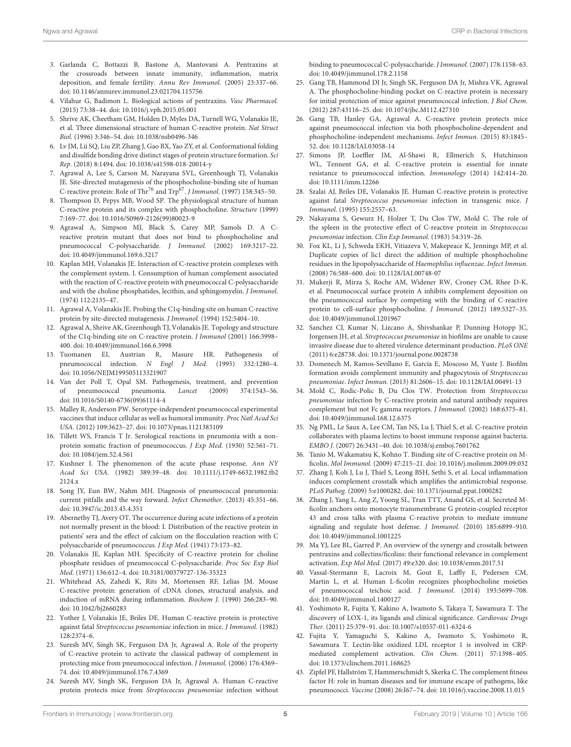- 3. Garlanda C, Bottazzi B, Bastone A, Mantovani A. Pentraxins at the crossroads between innate immunity, inflammation, matrix deposition, and female fertility. Annu Rev Immunol. (2005) 23:337–66. doi: [10.1146/annurev.immunol.23.021704.115756](https://doi.org/10.1146/annurev.immunol.23.021704.115756)
- <span id="page-6-0"></span>4. Vilahur G, Badimon L. Biological actions of pentraxins. Vasc Pharmacol. (2015) 73:38–44. doi: [10.1016/j.vph.2015.05.001](https://doi.org/10.1016/j.vph.2015.05.001)
- <span id="page-6-1"></span>5. Shrive AK, Cheetham GM, Holden D, Myles DA, Turnell WG, Volanakis JE, et al. Three dimensional structure of human C-reactive protein. Nat Struct Biol. (1996) 3:346–54. doi: [10.1038/nsb0496-346](https://doi.org/10.1038/nsb0496-346)
- <span id="page-6-2"></span>6. Lv JM, Lü SQ, Liu ZP, Zhang J, Gao BX, Yao ZY, et al. Conformational folding and disulfide bonding drive distinct stages of protein structure formation. Sci Rep. (2018) 8:1494. doi: [10.1038/s41598-018-20014-y](https://doi.org/10.1038/s41598-018-20014-y)
- <span id="page-6-3"></span>7. Agrawal A, Lee S, Carson M, Narayana SVL, Greenhough TJ, Volanakis JE. Site-directed mutagenesis of the phosphocholine-binding site of human C-reactive protein: Role of Thr<sup>76</sup> and Trp<sup>67</sup>. J Immunol. (1997) 158:345-50.
- 8. Thompson D, Pepys MB, Wood SP. The physiological structure of human C-reactive protein and its complex with phosphocholine. Structure (1999) 7:169–77. doi: [10.1016/S0969-2126\(99\)80023-9](https://doi.org/10.1016/S0969-2126(99)80023-9)
- <span id="page-6-4"></span>9. Agrawal A, Simpson MJ, Black S, Carey MP, Samols D. A Creactive protein mutant that does not bind to phosphocholine and pneumococcal C-polysaccharide. J Immunol. (2002) 169:3217–22. doi: [10.4049/jimmunol.169.6.3217](https://doi.org/10.4049/jimmunol.169.6.3217)
- <span id="page-6-5"></span>10. Kaplan MH, Volanakis JE. Interaction of C-reactive protein complexes with the complement system. I. Consumption of human complement associated with the reaction of C-reactive protein with pneumococcal C-polysaccharide and with the choline phosphatides, lecithin, and sphingomyelin. J Immunol. (1974) 112:2135–47.
- 11. Agrawal A, Volanakis JE. Probing the C1q-binding site on human C-reactive protein by site-directed mutagenesis. J Immunol. (1994) 152:5404–10.
- <span id="page-6-6"></span>12. Agrawal A, Shrive AK, Greenhough TJ, Volanakis JE. Topology and structure of the C1q-binding site on C-reactive protein. J Immunol (2001) 166:3998– 400. doi: [10.4049/jimmunol.166.6.3998](https://doi.org/10.4049/jimmunol.166.6.3998)
- <span id="page-6-7"></span>13. Tuomanen EI, Austrian R, Masure HR. Pathogenesis of pneumococcal infection. N Engl J Med. (1995) 332:1280-4. doi: [10.1056/NEJM199505113321907](https://doi.org/10.1056/NEJM199505113321907)
- 14. Van der Poll T, Opal SM. Pathogenesis, treatment, and prevention of pneumococcal pneumonia. Lancet (2009) 374:1543–56. doi: [10.1016/S0140-6736\(09\)61114-4](https://doi.org/10.1016/S0140-6736(09)61114-4)
- <span id="page-6-8"></span>15. Malley R, Anderson PW. Serotype-independent pneumococcal experimental vaccines that induce cellular as well as humoral immunity. Proc Natl Acad Sci USA. (2012) 109:3623–27. doi: [10.1073/pnas.1121383109](https://doi.org/10.1073/pnas.1121383109)
- <span id="page-6-9"></span>16. Tillett WS, Francis T Jr. Serological reactions in pneumonia with a nonprotein somatic fraction of pneumococcus. J Exp Med. (1930) 52:561–71. doi: [10.1084/jem.52.4.561](https://doi.org/10.1084/jem.52.4.561)
- 17. Kushner I. The phenomenon of the acute phase response. Ann NY Acad Sci USA. [\(1982\) 389:39–48. doi: 10.1111/j.1749-6632.1982.tb2](https://doi.org/10.1111/j.1749-6632.1982.tb22124.x) 2124.x
- <span id="page-6-10"></span>18. Song JY, Eun BW, Nahm MH. Diagnosis of pneumococcal pneumonia: current pitfalls and the way forward. Infect Chemother. (2013) 45:351–66. doi: [10.3947/ic.2013.45.4.351](https://doi.org/10.3947/ic.2013.45.4.351)
- <span id="page-6-11"></span>19. Abernethy TJ, Avery OT. The occurrence during acute infections of a protein not normally present in the blood: I. Distribution of the reactive protein in patients' sera and the effect of calcium on the flocculation reaction with C polysaccharide of pneumococcus. J Exp Med. (1941) 73:173–82.
- <span id="page-6-12"></span>20. Volanakis JE, Kaplan MH. Specificity of C-reactive protein for choline phosphate residues of pneumococcal C-polysaccharide. Proc Soc Exp Biol Med. (1971) 136:612–4. doi: [10.3181/00379727-136-35323](https://doi.org/10.3181/00379727-136-35323)
- <span id="page-6-13"></span>21. Whitehead AS, Zahedi K, Rits M, Mortensen RF, Lelias JM. Mouse C-reactive protein: generation of cDNA clones, structural analysis, and induction of mRNA during inflammation. Biochem J. (1990) 266:283–90. doi: [10.1042/bj2660283](https://doi.org/10.1042/bj2660283)
- <span id="page-6-14"></span>22. Yother J, Volanakis JE, Briles DE. Human C-reactive protein is protective against fatal Streptococcus pneumoniae infection in mice. J Immunol. (1982) 128:2374–6.
- <span id="page-6-25"></span>23. Suresh MV, Singh SK, Ferguson DA Jr, Agrawal A. Role of the property of C-reactive protein to activate the classical pathway of complement in protecting mice from pneumococcal infection. J Immunol. (2006) 176:4369– 74. doi: [10.4049/jimmunol.176.7.4369](https://doi.org/10.4049/jimmunol.176.7.4369)
- <span id="page-6-19"></span>24. Suresh MV, Singh SK, Ferguson DA Jr, Agrawal A. Human C-reactive protein protects mice from Streptococcus pneumoniae infection without

binding to pneumococcal C-polysaccharide. J Immunol. (2007) 178:1158–63. doi: [10.4049/jimmunol.178.2.1158](https://doi.org/10.4049/jimmunol.178.2.1158)

- <span id="page-6-20"></span>25. Gang TB, Hammond DJ Jr, Singh SK, Ferguson DA Jr, Mishra VK, Agrawal A. The phosphocholine-binding pocket on C-reactive protein is necessary for initial protection of mice against pneumococcal infection. J Biol Chem. (2012) 287:43116–25. doi: [10.1074/jbc.M112.427310](https://doi.org/10.1074/jbc.M112.427310)
- <span id="page-6-15"></span>26. Gang TB, Hanley GA, Agrawal A. C-reactive protein protects mice against pneumococcal infection via both phosphocholine-dependent and phosphocholine-independent mechanisms. Infect Immun. (2015) 83:1845– 52. doi: [10.1128/IAI.03058-14](https://doi.org/10.1128/IAI.03058-14)
- <span id="page-6-16"></span>27. Simons JP, Loeffler JM, Al-Shawi R, Ellmerich S, Hutchinson WL, Tennent GA, et al. C-reactive protein is essential for innate resistance to pneumococcal infection. Immunology (2014) 142:414–20. doi: [10.1111/imm.12266](https://doi.org/10.1111/imm.12266)
- <span id="page-6-17"></span>28. Szalai AJ, Briles DE, Volanakis JE. Human C-reactive protein is protective against fatal Streptococcus pneumoniae infection in transgenic mice. J Immunol. (1995) 155:2557–63.
- <span id="page-6-18"></span>29. Nakayama S, Gewurz H, Holzer T, Du Clos TW, Mold C. The role of the spleen in the protective effect of C-reactive protein in Streptococcus pneumoniae infection. Clin Exp Immunol. (1983) 54:319–26.
- <span id="page-6-21"></span>30. Fox KL, Li J, Schweda EKH, Vitiazeva V, Makepeace K, Jennings MP, et al. Duplicate copies of lic1 direct the addition of multiple phosphocholine residues in the lipopolysaccharide of Haemophilus influenzae. Infect Immun. (2008) 76:588–600. doi: [10.1128/IAI.00748-07](https://doi.org/10.1128/IAI.00748-07)
- <span id="page-6-22"></span>31. Mukerji R, Mirza S, Roche AM, Widener RW, Croney CM, Rhee D-K, et al. Pneumococcal surface protein A inhibits complement deposition on the pneumococcal surface by competing with the binding of C-reactive protein to cell-surface phosphocholine. J Immunol. (2012) 189:5327–35. doi: [10.4049/jimmunol.1201967](https://doi.org/10.4049/jimmunol.1201967)
- <span id="page-6-23"></span>32. Sanchez CJ, Kumar N, Lizcano A, Shivshankar P, Dunning Hotopp JC, Jorgensen JH, et al. Streptococcus pneumoniae in biofilms are unable to cause invasive disease due to altered virulence determinant production. PLoS ONE (2011) 6:e28738. doi: [10.1371/journal.pone.0028738](https://doi.org/10.1371/journal.pone.0028738)
- <span id="page-6-24"></span>33. Domenech M, Ramos-Sevillano E, García E, Moscoso M, Yuste J. Biofilm formation avoids complement immunity and phagocytosis of Streptococcus pneumoniae. Infect Immun. (2013) 81:2606–15. doi: [10.1128/IAI.00491-13](https://doi.org/10.1128/IAI.00491-13)
- <span id="page-6-26"></span>34. Mold C, Rodic-Polic B, Du Clos TW. Protection from Streptococcus pneumoniae infection by C-reactive protein and natural antibody requires complement but not Fc gamma receptors. J Immunol. (2002) 168:6375–81. doi: [10.4049/jimmunol.168.12.6375](https://doi.org/10.4049/jimmunol.168.12.6375)
- <span id="page-6-27"></span>35. Ng PML, Le Saux A, Lee CM, Tan NS, Lu J, Thiel S, et al. C-reactive protein collaborates with plasma lectins to boost immune response against bacteria. EMBO J. (2007) 26:3431–40. doi: [10.1038/sj.emboj.7601762](https://doi.org/10.1038/sj.emboj.7601762)
- 36. Tanio M, Wakamatsu K, Kohno T. Binding site of C-reactive protein on Mficolin. Mol Immunol. (2009) 47:215–21. doi: [10.1016/j.molimm.2009.09.032](https://doi.org/10.1016/j.molimm.2009.09.032)
- <span id="page-6-29"></span>37. Zhang J, Koh J, Lu J, Thiel S, Leong BSH, Sethi S, et al. Local inflammation induces complement crosstalk which amplifies the antimicrobial response. PLoS Pathog. (2009) 5:e1000282. doi: [10.1371/journal.ppat.1000282](https://doi.org/10.1371/journal.ppat.1000282)
- 38. Zhang J, Yang L, Ang Z, Yoong SL, Tran TTT, Anand GS, et al. Secreted Mficolin anchors onto monocyte transmembrane G protein-coupled receptor 43 and cross talks with plasma C-reactive protein to mediate immune signaling and regulate host defense. J Immunol. (2010) 185:6899–910. doi: [10.4049/jimmunol.1001225](https://doi.org/10.4049/jimmunol.1001225)
- <span id="page-6-28"></span>39. Ma YJ, Lee BL, Garred P. An overview of the synergy and crosstalk between pentraxins and collectins/ficolins: their functional relevance in complement activation. Exp Mol Med. (2017) 49:e320. doi: [10.1038/emm.2017.51](https://doi.org/10.1038/emm.2017.51)
- <span id="page-6-30"></span>40. Vassal-Stermann E, Lacroix M, Gout E, Laffly E, Pedersen CM, Martin L, et al. Human L-ficolin recognizes phosphocholine moieties of pneumococcal teichoic acid. J Immunol. (2014) 193:5699–708. doi: [10.4049/jimmunol.1400127](https://doi.org/10.4049/jimmunol.1400127)
- <span id="page-6-31"></span>41. Yoshimoto R, Fujita Y, Kakino A, Iwamoto S, Takaya T, Sawamura T. The discovery of LOX-1, its ligands and clinical significance. Cardiovasc Drugs Ther. (2011) 25:379–91. doi: [10.1007/s10557-011-6324-6](https://doi.org/10.1007/s10557-011-6324-6)
- <span id="page-6-32"></span>42. Fujita Y, Yamaguchi S, Kakino A, Iwamoto S, Yoshimoto R, Sawamura T. Lectin-like oxidized LDL receptor 1 is involved in CRPmediated complement activation. Clin Chem. (2011) 57:1398–405. doi: [10.1373/clinchem.2011.168625](https://doi.org/10.1373/clinchem.2011.168625)
- <span id="page-6-33"></span>43. Zipfel PF, Hallström T, Hammerschmidt S, Skerka C. The complement fitness factor H: role in human diseases and for immune escape of pathogens, like pneumococci. Vaccine (2008) 26:I67–74. doi: [10.1016/j.vaccine.2008.11.015](https://doi.org/10.1016/j.vaccine.2008.11.015)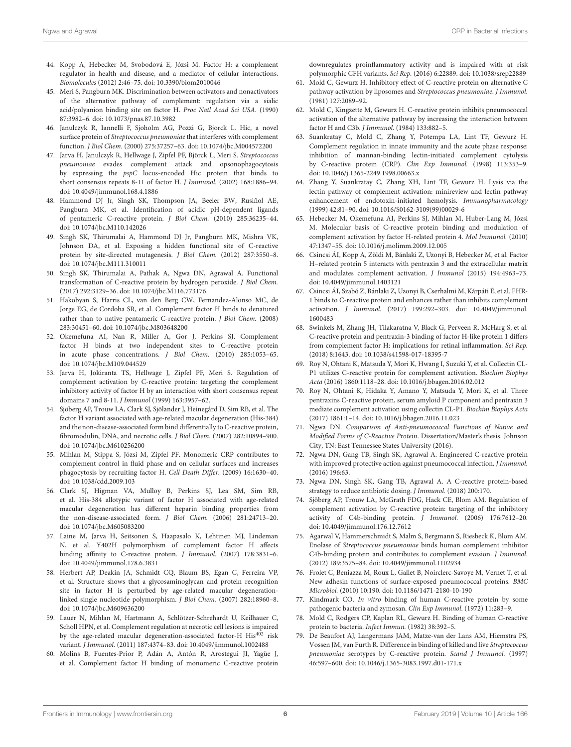- <span id="page-7-0"></span>44. Kopp A, Hebecker M, Svobodová E, Józsi M. Factor H: a complement regulator in health and disease, and a mediator of cellular interactions. Biomolecules (2012) 2:46–75. doi: [10.3390/biom2010046](https://doi.org/10.3390/biom2010046)
- <span id="page-7-1"></span>45. Meri S, Pangburn MK. Discrimination between activators and nonactivators of the alternative pathway of complement: regulation via a sialic acid/polyanion binding site on factor H. Proc Natl Acad Sci USA. (1990) 87:3982–6. doi: [10.1073/pnas.87.10.3982](https://doi.org/10.1073/pnas.87.10.3982)
- <span id="page-7-2"></span>46. Janulczyk R, Iannelli F, Sjoholm AG, Pozzi G, Bjorck L. Hic, a novel surface protein of Streptococcus pneumoniae that interferes with complement function. J Biol Chem. (2000) 275:37257–63. doi: [10.1074/jbc.M004572200](https://doi.org/10.1074/jbc.M004572200)
- <span id="page-7-3"></span>47. Jarva H, Janulczyk R, Hellwage J, Zipfel PF, Björck L, Meri S. Streptococcus pneumoniae evades complement attack and opsonophagocytosis by expressing the pspC locus-encoded Hic protein that binds to short consensus repeats 8-11 of factor H. J Immunol. (2002) 168:1886–94. doi: [10.4049/jimmunol.168.4.1886](https://doi.org/10.4049/jimmunol.168.4.1886)
- <span id="page-7-4"></span>48. Hammond DJ Jr, Singh SK, Thompson JA, Beeler BW, Rusiñol AE, Pangburn MK, et al. Identification of acidic pH-dependent ligands of pentameric C-reactive protein. J Biol Chem. (2010) 285:36235–44. doi: [10.1074/jbc.M110.142026](https://doi.org/10.1074/jbc.M110.142026)
- 49. Singh SK, Thirumalai A, Hammond DJ Jr, Pangburn MK, Mishra VK, Johnson DA, et al. Exposing a hidden functional site of C-reactive protein by site-directed mutagenesis. J Biol Chem. (2012) 287:3550–8. doi: [10.1074/jbc.M111.310011](https://doi.org/10.1074/jbc.M111.310011)
- <span id="page-7-20"></span>50. Singh SK, Thirumalai A, Pathak A, Ngwa DN, Agrawal A. Functional transformation of C-reactive protein by hydrogen peroxide. J Biol Chem. (2017) 292:3129–36. doi: [10.1074/jbc.M116.773176](https://doi.org/10.1074/jbc.M116.773176)
- <span id="page-7-6"></span>51. Hakobyan S, Harris CL, van den Berg CW, Fernandez-Alonso MC, de Jorge EG, de Cordoba SR, et al. Complement factor H binds to denatured rather than to native pentameric C-reactive protein. J Biol Chem. (2008) 283:30451–60. doi: [10.1074/jbc.M803648200](https://doi.org/10.1074/jbc.M803648200)
- <span id="page-7-5"></span>52. Okemefuna AI, Nan R, Miller A, Gor J, Perkins SJ. Complement factor H binds at two independent sites to C-reactive protein in acute phase concentrations. J Biol Chem. (2010) 285:1053–65. doi: [10.1074/jbc.M109.044529](https://doi.org/10.1074/jbc.M109.044529)
- <span id="page-7-7"></span>53. Jarva H, Jokiranta TS, Hellwage J, Zipfel PF, Meri S. Regulation of complement activation by C-reactive protein: targeting the complement inhibitory activity of factor H by an interaction with short consensus repeat domains 7 and 8-11. J Immunol (1999) 163:3957–62.
- <span id="page-7-8"></span>54. Sjöberg AP, Trouw LA, Clark SJ, Sjölander J, Heinegård D, Sim RB, et al. The factor H variant associated with age-related macular degeneration (His-384) and the non-disease-associated form bind differentially to C-reactive protein, fibromodulin, DNA, and necrotic cells. J Biol Chem. (2007) 282:10894–900. doi: [10.1074/jbc.M610256200](https://doi.org/10.1074/jbc.M610256200)
- <span id="page-7-9"></span>55. Mihlan M, Stippa S, Józsi M, Zipfel PF. Monomeric CRP contributes to complement control in fluid phase and on cellular surfaces and increases phagocytosis by recruiting factor H. Cell Death Differ. (2009) 16:1630–40. doi: [10.1038/cdd.2009.103](https://doi.org/10.1038/cdd.2009.103)
- <span id="page-7-10"></span>56. Clark SJ, Higman VA, Mulloy B, Perkins SJ, Lea SM, Sim RB, et al. His-384 allotypic variant of factor H associated with age-related macular degeneration has different heparin binding properties from the non-disease-associated form. J Biol Chem. (2006) 281:24713–20. doi: [10.1074/jbc.M605083200](https://doi.org/10.1074/jbc.M605083200)
- 57. Laine M, Jarva H, Seitsonen S, Haapasalo K, Lehtinen MJ, Lindeman N, et al. Y402H polymorphism of complement factor H affects binding affinity to C-reactive protein. J Immunol. (2007) 178:3831–6. doi: [10.4049/jimmunol.178.6.3831](https://doi.org/10.4049/jimmunol.178.6.3831)
- 58. Herbert AP, Deakin JA, Schmidt CQ, Blaum BS, Egan C, Ferreira VP, et al. Structure shows that a glycosaminoglycan and protein recognition site in factor H is perturbed by age-related macular degenerationlinked single nucleotide polymorphism. J Biol Chem. (2007) 282:18960–8. doi: [10.1074/jbc.M609636200](https://doi.org/10.1074/jbc.M609636200)
- 59. Lauer N, Mihlan M, Hartmann A, Schlötzer-Schrehardt U, Keilhauer C, Scholl HPN, et al. Complement regulation at necrotic cell lesions is impaired by the age-related macular degeneration-associated factor-H  $\mathrm{His}^{402}$  risk variant. J Immunol. (2011) 187:4374–83. doi: [10.4049/jimmunol.1002488](https://doi.org/10.4049/jimmunol.1002488)
- <span id="page-7-11"></span>60. Molins B, Fuentes-Prior P, Adán A, Antón R, Arostegui JI, Yagüe J, et al. Complement factor H binding of monomeric C-reactive protein

downregulates proinflammatory activity and is impaired with at risk polymorphic CFH variants. Sci Rep. (2016) 6:22889. doi: [10.1038/srep22889](https://doi.org/10.1038/srep22889)

- <span id="page-7-12"></span>61. Mold C, Gewurz H. Inhibitory effect of C-reactive protein on alternative C pathway activation by liposomes and Streptococcus pneumoniae. J Immunol. (1981) 127:2089–92.
- <span id="page-7-13"></span>62. Mold C, Kingzette M, Gewurz H. C-reactive protein inhibits pneumococcal activation of the alternative pathway by increasing the interaction between factor H and C3b. J Immunol. (1984) 133:882–5.
- <span id="page-7-14"></span>63. Suankratay C, Mold C, Zhang Y, Potempa LA, Lint TF, Gewurz H. Complement regulation in innate immunity and the acute phase response: inhibition of mannan-binding lectin-initiated complement cytolysis by C-reactive protein (CRP). Clin Exp Immunol. (1998) 113:353–9. doi: [10.1046/j.1365-2249.1998.00663.x](https://doi.org/10.1046/j.1365-2249.1998.00663.x)
- <span id="page-7-15"></span>64. Zhang Y, Suankratay C, Zhang XH, Lint TF, Gewurz H. Lysis via the lectin pathway of complement activation: minireview and lectin pathway enhancement of endotoxin-initiated hemolysis. Immunopharmacology (1999) 42:81–90. doi: [10.1016/S0162-3109\(99\)00029-6](https://doi.org/10.1016/S0162-3109(99)00029-6)
- <span id="page-7-16"></span>65. Hebecker M, Okemefuna AI, Perkins SJ, Mihlan M, Huber-Lang M, Józsi M. Molecular basis of C-reactive protein binding and modulation of complement activation by factor H-related protein 4. Mol Immunol. (2010) 47:1347–55. doi: [10.1016/j.molimm.2009.12.005](https://doi.org/10.1016/j.molimm.2009.12.005)
- 66. Csincsi ÁI, Kopp A, Zöldi M, Bánlaki Z, Uzonyi B, Hebecker M, et al. Factor H–related protein 5 interacts with pentraxin 3 and the extracellular matrix and modulates complement activation. J Immunol (2015) 194:4963–73. doi: [10.4049/jimmunol.1403121](https://doi.org/10.4049/jimmunol.1403121)
- 67. Csincsi ÁI, Szabó Z, Bánlaki Z, Uzonyi B, Cserhalmi M, Kárpáti É, et al. FHR-1 binds to C-reactive protein and enhances rather than inhibits complement activation. J Immunol. [\(2017\) 199:292–303. doi: 10.4049/jimmunol.](https://doi.org/10.4049/jimmunol.1600483) 1600483
- <span id="page-7-17"></span>68. Swinkels M, Zhang JH, Tilakaratna V, Black G, Perveen R, McHarg S, et al. C-reactive protein and pentraxin-3 binding of factor H-like protein 1 differs from complement factor H: implications for retinal inflammation. Sci Rep. (2018) 8:1643. doi: [10.1038/s41598-017-18395-7](https://doi.org/10.1038/s41598-017-18395-7)
- <span id="page-7-18"></span>69. Roy N, Ohtani K, Matsuda Y, Mori K, Hwang I, Suzuki Y, et al. Collectin CL-P1 utilizes C-reactive protein for complement activation. Biochim Biophys Acta (2016) 1860:1118–28. doi: [10.1016/j.bbagen.2016.02.012](https://doi.org/10.1016/j.bbagen.2016.02.012)
- <span id="page-7-19"></span>70. Roy N, Ohtani K, Hidaka Y, Amano Y, Matsuda Y, Mori K, et al. Three pentraxins C-reactive protein, serum amyloid P component and pentraxin 3 mediate complement activation using collectin CL-P1. Biochim Biophys Acta (2017) 1861:1–14. doi: [10.1016/j.bbagen.2016.11.023](https://doi.org/10.1016/j.bbagen.2016.11.023)
- <span id="page-7-21"></span>71. Ngwa DN. Comparison of Anti-pneumococcal Functions of Native and Modified Forms of C-Reactive Protein. Dissertation/Master's thesis. Johnson City, TN: East Tennessee States University (2016).
- 72. Ngwa DN, Gang TB, Singh SK, Agrawal A. Engineered C-reactive protein with improved protective action against pneumococcal infection. *J Immunol*. (2016) 196:63.
- <span id="page-7-22"></span>73. Ngwa DN, Singh SK, Gang TB, Agrawal A. A C-reactive protein-based strategy to reduce antibiotic dosing. J Immunol. (2018) 200:170.
- <span id="page-7-23"></span>74. Sjöberg AP, Trouw LA, McGrath FDG, Hack CE, Blom AM. Regulation of complement activation by C-reactive protein: targeting of the inhibitory activity of C4b-binding protein. J Immunol. (2006) 176:7612–20. doi: [10.4049/jimmunol.176.12.7612](https://doi.org/10.4049/jimmunol.176.12.7612)
- <span id="page-7-24"></span>75. Agarwal V, Hammerschmidt S, Malm S, Bergmann S, Riesbeck K, Blom AM. Enolase of Streptococcus pneumoniae binds human complement inhibitor C4b-binding protein and contributes to complement evasion. J Immunol. (2012) 189:3575–84. doi: [10.4049/jimmunol.1102934](https://doi.org/10.4049/jimmunol.1102934)
- <span id="page-7-25"></span>76. Frolet C, Beniazza M, Roux L, Gallet B, Noirclerc-Savoye M, Vernet T, et al. New adhesin functions of surface-exposed pneumococcal proteins. BMC Microbiol. (2010) 10:190. doi: [10.1186/1471-2180-10-190](https://doi.org/10.1186/1471-2180-10-190)
- <span id="page-7-26"></span>77. Kindmark CO. In vitro binding of human C-reactive protein by some pathogenic bacteria and zymosan. Clin Exp Immunol. (1972) 11:283–9.
- <span id="page-7-28"></span>78. Mold C, Rodgers CP, Kaplan RL, Gewurz H. Binding of human C-reactive protein to bacteria. Infect Immun. (1982) 38:392–5.
- <span id="page-7-27"></span>79. De Beaufort AJ, Langermans JAM, Matze-van der Lans AM, Hiemstra PS, Vossen JM, van Furth R. Difference in binding of killed and live Streptococcus pneumoniae serotypes by C-reactive protein. Scand J Immunol. (1997) 46:597–600. doi: [10.1046/j.1365-3083.1997.d01-171.x](https://doi.org/10.1046/j.1365-3083.1997.d01-171.x)